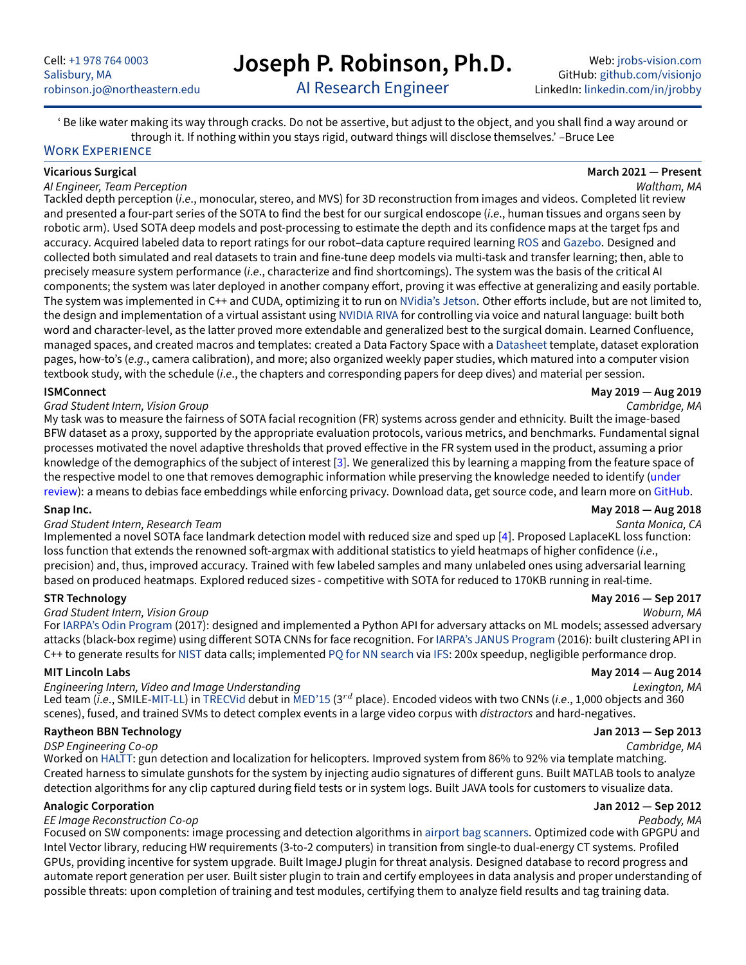# **Joseph P. Robinson, Ph.D.**

Web: [jrobs-vision.com](www.jrobs-vision.com) GitHub: [github.com/visionjo](https://github.com/visionjo) LinkedIn: [linkedin.com/in/jrobby](https://www.linkedin.com/in/jrobby)

AI Research Engineer

<span id="page-0-0"></span>' Be like water making its way through cracks. Do not be assertive, but adjust to the object, and you shall find a way around or through it. If nothing within you stays rigid, outward things will disclose themselves.' –Bruce Lee

### WORK EXPERIENCE

### **Vicarious Surgical March 2021 — Present**

### AI Engineer, Team Perception Waltham, MA

Tackled depth perception (i.e., monocular, stereo, and MVS) for 3D reconstruction from images and videos. Completed lit review and presented a four-part series of the SOTA to find the best for our surgical endoscope (i.e., human tissues and organs seen by robotic arm). Used SOTA deep models and post-processing to estimate the depth and its confidence maps at the target fps and accuracy. Acquired labeled data to report ratings for our robot–data capture required learning [ROS](https://www.ros.org/) and [Gazebo.](https://gazebosim.org/) Designed and collected both simulated and real datasets to train and fine-tune deep models via multi-task and transfer learning; then, able to precisely measure system performance (i.e., characterize and find shortcomings). The system was the basis of the critical AI components; the system was later deployed in another company effort, proving it was effective at generalizing and easily portable. The system was implemented in C++ and CUDA, optimizing it to run on [NVidia's Jetson.](https://www.forbes.com/sites/davealtavilla/2022/05/04/experiencing-nvidia-jetson-agx-orin-the-fascinating-future-of-ai-empowered-robotics/?sh=17ddd070261f) Other efforts include, but are not limited to, the design and implementation of a virtual assistant using [NVIDIA RIVA](https://developer.nvidia.com/riva) for controlling via voice and natural language: built both word and character-level, as the latter proved more extendable and generalized best to the surgical domain. Learned Confluence, managed spaces, and created macros and templates: created a Data Factory Space with a [Datasheet](https://arxiv.org/pdf/1803.09010.pdf) template, dataset exploration pages, how-to's (e.g., camera calibration), and more; also organized weekly paper studies, which matured into a computer vision textbook study, with the schedule (i.e., the chapters and corresponding papers for deep dives) and material per session.

### Grad Student Intern, Vision Group Cambridge, MA Cambridge, MA

My task was to measure the fairness of SOTA facial recognition (FR) systems across gender and ethnicity. Built the image-based BFW dataset as a proxy, supported by the appropriate evaluation protocols, various metrics, and benchmarks. Fundamental signal processes motivated the novel adaptive thresholds that proved effective in the FR system used in the product, assuming a prior knowledge of the demographics of the subject of interest [\[3\]](#page-1-0). We generalized this by learning a mapping from the feature space of the respective model to one that removes demographic information while preserving the knowledge needed to identify (under review): a means to debias face embeddings while enforcing privacy. Download data, get source code, and learn more on GitHub.

### **Snap Inc. May 2018 — Aug 2018**

### Grad Student Intern, Research Team  $S$ anta Monica, CA

Implemented a novel SOTA face landmark detection model with reduced size and sped up [\[4\]](#page-1-1). Proposed LaplaceKL loss function: loss function that extends the renowned soft-argmax with additional statistics to yield heatmaps of higher confidence (i.e., precision) and, thus, improved accuracy. Trained with few labeled samples and many unlabeled ones using adversarial learning based on produced heatmaps. Explored reduced sizes - competitive with SOTA for reduced to 170KB running in real-time.

### Grad Student Intern, Vision Group Woburn, MA

For [IARPA's Odin Program](https://www.iarpa.gov/research-programs/odin) (2017): designed and implemented a Python API for adversary attacks on ML models; assessed adversary attacks (black-box regime) using different SOTA CNNs for face recognition. For [IARPA's JANUS Program](https://www.iarpa.gov/research-programs/janus) (2016): built clustering API in C++ to generate results for [NIST](https://www.nist.gov/) data calls; implemented [PQ for NN search](https://lear.inrialpes.fr/pubs/2011/JDS11/jegou_searching_with_quantization.pdf) via [IFS:](http://www.cs.bilkent.edu.tr/~canf/CS351Fall2010/cs351lecturenotes/week10/index.html) 200x speedup, negligible performance drop.

### **MIT Lincoln Labs May 2014 — Aug 2014**

# Engineering Intern, Video and Image Understanding Lexington, MA

Led team (i.e., SMILE[-MIT-LL\)](https://www.ll.mit.edu/) in [TRECVid](https://trecvid.nist.gov/) debut in [MED'15](https://www-nlpir.nist.gov/projects/tv2015/index.html) (3<sup>rd</sup> place). Encoded videos with two CNNs (i.e., 1,000 objects and 360 scenes), fused, and trained SVMs to detect complex events in a large video corpus with *distractors* and hard-negatives.

### **Raytheon BBN Technology Jan 2013 — Sep 2013**

DSP Engineering Co-op Cambridge, MA

Worked on [HALTT:](https://www.wired.com/2010/03/military-helicopters-may-get-gunshot-location-system/) gun detection and localization for helicopters. Improved system from 86% to 92% via template matching. Created harness to simulate gunshots for the system by injecting audio signatures of different guns. Built MATLAB tools to analyze detection algorithms for any clip captured during field tests or in system logs. Built JAVA tools for customers to visualize data.

### **Analogic Corporation Jan 2012 — Sep 2012**

### EE Image Reconstruction Co-op Peabody, MA

Focused on SW components: image processing and detection algorithms in [airport bag scanners.](https://www.analogic.com/imaging-and-detection/checkpoint/?locale=en) Optimized code with GPGPU and Intel Vector library, reducing HW requirements (3-to-2 computers) in transition from single-to dual-energy CT systems. Profiled GPUs, providing incentive for system upgrade. Built ImageJ plugin for threat analysis. Designed database to record progress and automate report generation per user. Built sister plugin to train and certify employees in data analysis and proper understanding of possible threats: upon completion of training and test modules, certifying them to analyze field results and tag training data.

### **ISMConnect May 2019 — Aug 2019**

### **STR Technology May 2016 — Sep 2017**